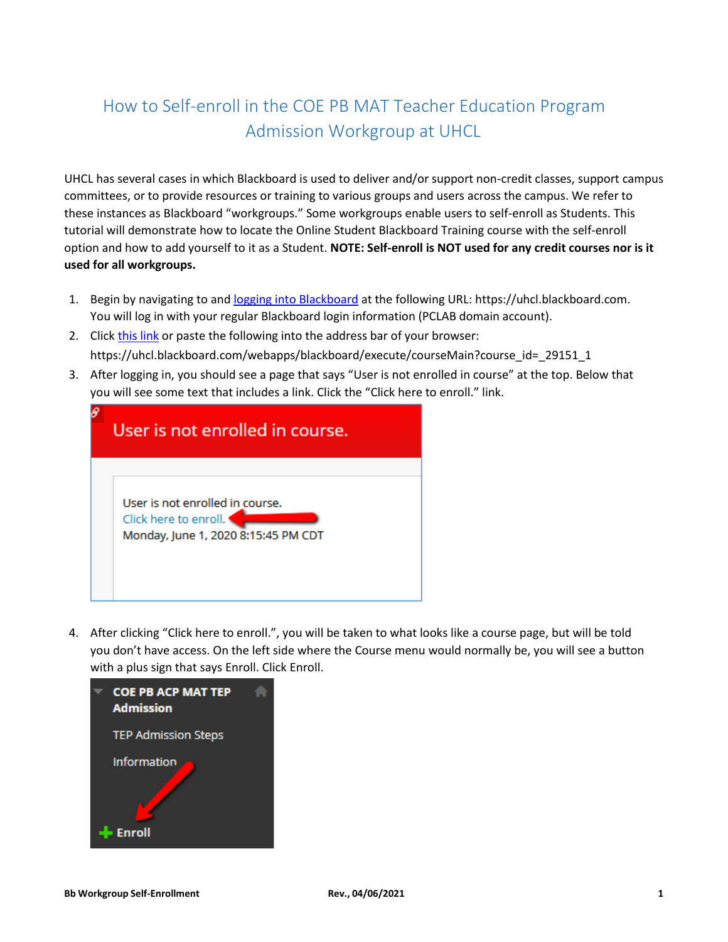## How to Self-enroll in the COE PB MAT Teacher Education Program Admission Workgroup at UHCL

UHCL has several cases in which Blackboard is used to deliver and/or support non-credit classes, support campus committees, or to provide resources or training to various groups and users across the campus. We refer to these instances as Blackboard "workgroups." Some workgroups enable users to self-enroll as Students. This tutorial will demonstrate how to locate the Online Student Blackboard Training course with the self-enroll option and how to add yourself to it as a Student. **NOTE: Self-enroll is NOT used for any credit courses nor is it used for all workgroups.**

- 1. Begin by navigating to an[d logging into Blackboard](https://uhcl.blackboard.com/webapps/blackboard/execute/courseMain?course_id=_19098_1) at the following URL: https://uhcl.blackboard.com. You will log in with your regular Blackboard login information (PCLAB domain account).
- 2. Click [this link](https://uhcl.blackboard.com/webapps/blackboard/execute/courseMain?course_id=_29151_1) or paste the following into the address bar of your browser: https://uhcl.blackboard.com/webapps/blackboard/execute/courseMain?course\_id=\_29151\_1
- 3. After logging in, you should see a page that says "User is not enrolled in course" at the top. Below that you will see some text that includes a link. Click the "Click here to enroll." link.

| User is not enrolled in course.                                                                 |
|-------------------------------------------------------------------------------------------------|
| User is not enrolled in course.<br>Click here to enroll.<br>Monday, June 1, 2020 8:15:45 PM CDT |

4. After clicking "Click here to enroll.", you will be taken to what looks like a course page, but will be told you don't have access. On the left side where the Course menu would normally be, you will see a button with a plus sign that says Enroll. Click Enroll.